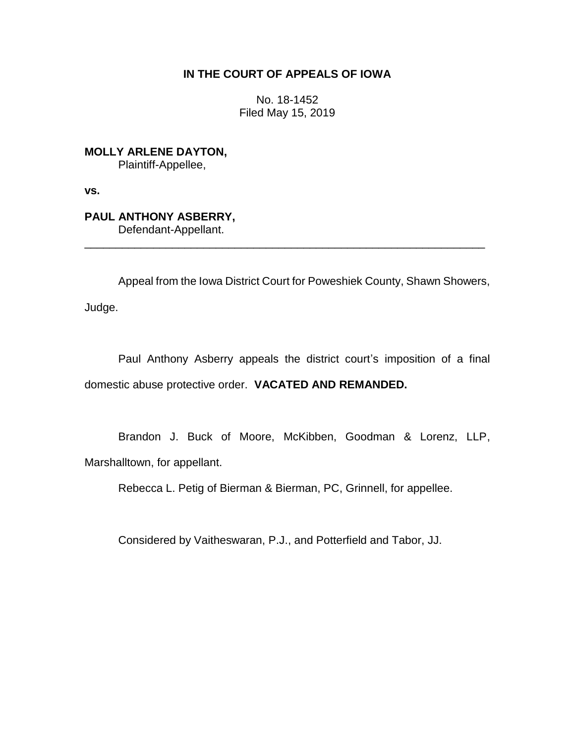# **IN THE COURT OF APPEALS OF IOWA**

No. 18-1452 Filed May 15, 2019

**MOLLY ARLENE DAYTON,** Plaintiff-Appellee,

**vs.**

**PAUL ANTHONY ASBERRY,** Defendant-Appellant.

Appeal from the Iowa District Court for Poweshiek County, Shawn Showers,

\_\_\_\_\_\_\_\_\_\_\_\_\_\_\_\_\_\_\_\_\_\_\_\_\_\_\_\_\_\_\_\_\_\_\_\_\_\_\_\_\_\_\_\_\_\_\_\_\_\_\_\_\_\_\_\_\_\_\_\_\_\_\_\_

Judge.

Paul Anthony Asberry appeals the district court's imposition of a final domestic abuse protective order. **VACATED AND REMANDED.**

Brandon J. Buck of Moore, McKibben, Goodman & Lorenz, LLP, Marshalltown, for appellant.

Rebecca L. Petig of Bierman & Bierman, PC, Grinnell, for appellee.

Considered by Vaitheswaran, P.J., and Potterfield and Tabor, JJ.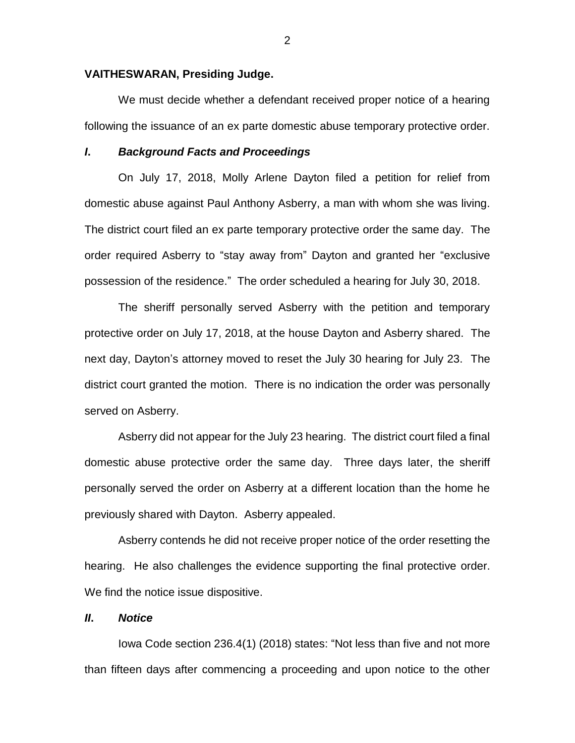### **VAITHESWARAN, Presiding Judge.**

We must decide whether a defendant received proper notice of a hearing following the issuance of an ex parte domestic abuse temporary protective order.

### *I***.** *Background Facts and Proceedings*

On July 17, 2018, Molly Arlene Dayton filed a petition for relief from domestic abuse against Paul Anthony Asberry, a man with whom she was living. The district court filed an ex parte temporary protective order the same day. The order required Asberry to "stay away from" Dayton and granted her "exclusive possession of the residence." The order scheduled a hearing for July 30, 2018.

The sheriff personally served Asberry with the petition and temporary protective order on July 17, 2018, at the house Dayton and Asberry shared. The next day, Dayton's attorney moved to reset the July 30 hearing for July 23. The district court granted the motion. There is no indication the order was personally served on Asberry.

Asberry did not appear for the July 23 hearing. The district court filed a final domestic abuse protective order the same day. Three days later, the sheriff personally served the order on Asberry at a different location than the home he previously shared with Dayton. Asberry appealed.

Asberry contends he did not receive proper notice of the order resetting the hearing. He also challenges the evidence supporting the final protective order. We find the notice issue dispositive.

## *II***.** *Notice*

Iowa Code section 236.4(1) (2018) states: "Not less than five and not more than fifteen days after commencing a proceeding and upon notice to the other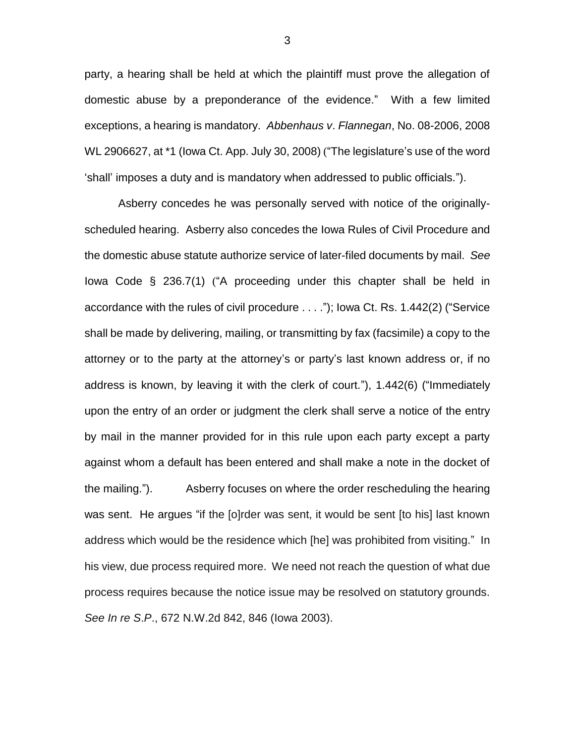party, a hearing shall be held at which the plaintiff must prove the allegation of domestic abuse by a preponderance of the evidence." With a few limited exceptions, a hearing is mandatory. *Abbenhaus v*. *Flannegan*, No. 08-2006, 2008 WL 2906627, at \*1 (Iowa Ct. App. July 30, 2008) ("The legislature's use of the word 'shall' imposes a duty and is mandatory when addressed to public officials.").

Asberry concedes he was personally served with notice of the originallyscheduled hearing. Asberry also concedes the Iowa Rules of Civil Procedure and the domestic abuse statute authorize service of later-filed documents by mail. *See* Iowa Code § 236.7(1) ("A proceeding under this chapter shall be held in accordance with the rules of civil procedure . . . ."); Iowa Ct. Rs. 1.442(2) ("Service shall be made by delivering, mailing, or transmitting by fax (facsimile) a copy to the attorney or to the party at the attorney's or party's last known address or, if no address is known, by leaving it with the clerk of court."), 1.442(6) ("Immediately upon the entry of an order or judgment the clerk shall serve a notice of the entry by mail in the manner provided for in this rule upon each party except a party against whom a default has been entered and shall make a note in the docket of the mailing."). Asberry focuses on where the order rescheduling the hearing was sent. He argues "if the [o]rder was sent, it would be sent [to his] last known address which would be the residence which [he] was prohibited from visiting." In his view, due process required more. We need not reach the question of what due process requires because the notice issue may be resolved on statutory grounds. *See In re S*.*P*., 672 N.W.2d 842, 846 (Iowa 2003).

3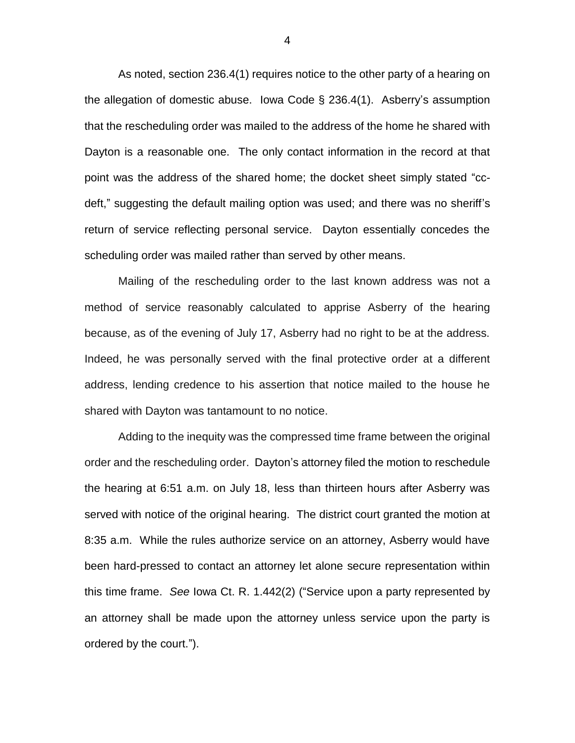As noted, section 236.4(1) requires notice to the other party of a hearing on the allegation of domestic abuse. Iowa Code § 236.4(1). Asberry's assumption that the rescheduling order was mailed to the address of the home he shared with Dayton is a reasonable one. The only contact information in the record at that point was the address of the shared home; the docket sheet simply stated "ccdeft," suggesting the default mailing option was used; and there was no sheriff's return of service reflecting personal service. Dayton essentially concedes the scheduling order was mailed rather than served by other means.

 Mailing of the rescheduling order to the last known address was not a method of service reasonably calculated to apprise Asberry of the hearing because, as of the evening of July 17, Asberry had no right to be at the address. Indeed, he was personally served with the final protective order at a different address, lending credence to his assertion that notice mailed to the house he shared with Dayton was tantamount to no notice.

Adding to the inequity was the compressed time frame between the original order and the rescheduling order. Dayton's attorney filed the motion to reschedule the hearing at 6:51 a.m. on July 18, less than thirteen hours after Asberry was served with notice of the original hearing. The district court granted the motion at 8:35 a.m. While the rules authorize service on an attorney, Asberry would have been hard-pressed to contact an attorney let alone secure representation within this time frame. *See* Iowa Ct. R. 1.442(2) ("Service upon a party represented by an attorney shall be made upon the attorney unless service upon the party is ordered by the court.").

4